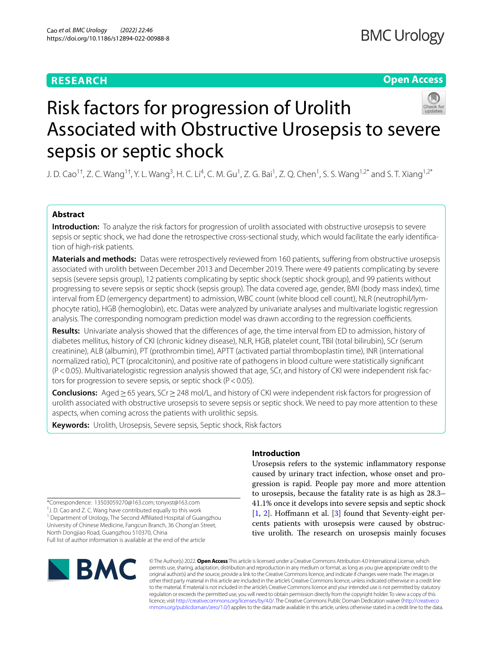# **RESEARCH**

**Open Access**



# Risk factors for progression of Urolith Associated with Obstructive Urosepsis to severe sepsis or septic shock

J. D. Cao<sup>1†</sup>, Z. C. Wang<sup>1†</sup>, Y. L. Wang<sup>3</sup>, H. C. Li<sup>4</sup>, C. M. Gu<sup>1</sup>, Z. G. Bai<sup>1</sup>, Z. Q. Chen<sup>1</sup>, S. S. Wang<sup>1,2\*</sup> and S. T. Xiang<sup>1,2\*</sup>

# **Abstract**

**Introduction:** To analyze the risk factors for progression of urolith associated with obstructive urosepsis to severe sepsis or septic shock, we had done the retrospective cross-sectional study, which would facilitate the early identifcation of high-risk patients.

**Materials and methods:** Datas were retrospectively reviewed from 160 patients, sufering from obstructive urosepsis associated with urolith between December 2013 and December 2019. There were 49 patients complicating by severe sepsis (severe sepsis group), 12 patients complicating by septic shock (septic shock group), and 99 patients without progressing to severe sepsis or septic shock (sepsis group). The data covered age, gender, BMI (body mass index), time interval from ED (emergency department) to admission, WBC count (white blood cell count), NLR (neutrophil/lymphocyte ratio), HGB (hemoglobin), etc. Datas were analyzed by univariate analyses and multivariate logistic regression analysis. The corresponding nomogram prediction model was drawn according to the regression coefficients.

**Results:** Univariate analysis showed that the diferences of age, the time interval from ED to admission, history of diabetes mellitus, history of CKI (chronic kidney disease), NLR, HGB, platelet count, TBil (total bilirubin), SCr (serum creatinine), ALB (albumin), PT (prothrombin time), APTT (activated partial thromboplastin time), INR (international normalized ratio), PCT (procalcitonin), and positive rate of pathogens in blood culture were statistically signifcant (P<0.05). Multivariatelogistic regression analysis showed that age, SCr, and history of CKI were independent risk factors for progression to severe sepsis, or septic shock ( $P < 0.05$ ).

**Conclusions:** Aged≥65 years, SCr≥248 mol/L, and history of CKI were independent risk factors for progression of urolith associated with obstructive urosepsis to severe sepsis or septic shock. We need to pay more attention to these aspects, when coming across the patients with urolithic sepsis.

**Keywords:** Urolith, Urosepsis, Severe sepsis, Septic shock, Risk factors

\*Correspondence: 13503059270@163.com; tonyxst@163.com † J. D. Cao and Z. C. Wang have contributed equally to this work <sup>1</sup> Department of Urology, The Second Affiliated Hospital of Guangzhou University of Chinese Medicine, Fangcun Branch, 36 Chong'an Street, North Dongjiao Road, Guangzhou 510370, China Full list of author information is available at the end of the article

# **BMC**

# **Introduction**

Urosepsis refers to the systemic infammatory response caused by urinary tract infection, whose onset and progression is rapid. People pay more and more attention to urosepsis, because the fatality rate is as high as 28.3– 41.1% once it develops into severe sepsis and septic shock [[1,](#page-6-0) [2](#page-6-1)]. Hoffmann et al. [\[3](#page-6-2)] found that Seventy-eight percents patients with urosepsis were caused by obstructive urolith. The research on urosepsis mainly focuses

© The Author(s) 2022. **Open Access** This article is licensed under a Creative Commons Attribution 4.0 International License, which permits use, sharing, adaptation, distribution and reproduction in any medium or format, as long as you give appropriate credit to the original author(s) and the source, provide a link to the Creative Commons licence, and indicate if changes were made. The images or other third party material in this article are included in the article's Creative Commons licence, unless indicated otherwise in a credit line to the material. If material is not included in the article's Creative Commons licence and your intended use is not permitted by statutory regulation or exceeds the permitted use, you will need to obtain permission directly from the copyright holder. To view a copy of this licence, visit [http://creativecommons.org/licenses/by/4.0/.](http://creativecommons.org/licenses/by/4.0/) The Creative Commons Public Domain Dedication waiver ([http://creativeco](http://creativecommons.org/publicdomain/zero/1.0/) [mmons.org/publicdomain/zero/1.0/](http://creativecommons.org/publicdomain/zero/1.0/)) applies to the data made available in this article, unless otherwise stated in a credit line to the data.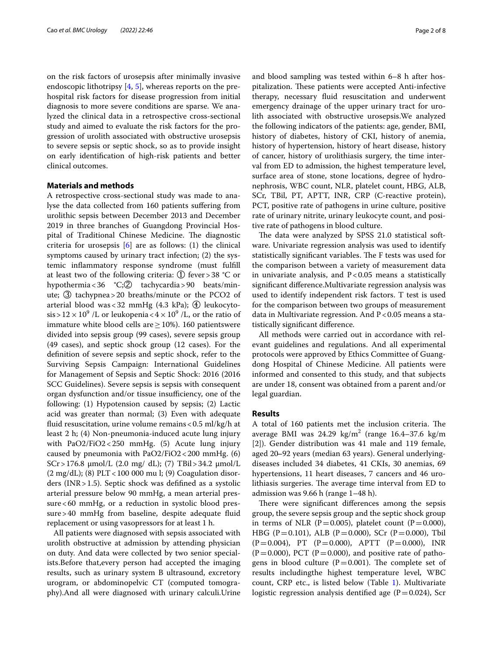on the risk factors of urosepsis after minimally invasive endoscopic lithotripsy [[4](#page-6-3), [5](#page-6-4)], whereas reports on the prehospital risk factors for disease progression from initial diagnosis to more severe conditions are sparse. We analyzed the clinical data in a retrospective cross-sectional study and aimed to evaluate the risk factors for the progression of urolith associated with obstructive urosepsis to severe sepsis or septic shock, so as to provide insight on early identifcation of high-risk patients and better clinical outcomes.

#### **Materials and methods**

A retrospective cross-sectional study was made to analyse the data collected from 160 patients sufering from urolithic sepsis between December 2013 and December 2019 in three branches of Guangdong Provincial Hospital of Traditional Chinese Medicine. The diagnostic criteria for urosepsis  $[6]$  $[6]$  are as follows: (1) the clinical symptoms caused by urinary tract infection; (2) the systemic infammatory response syndrome (must fulfll at least two of the following criteria: ① fever>38 °C or hypothermia<36 °C;② tachycardia>90 beats/minute; ③ tachypnea>20 breaths/minute or the PCO2 of arterial blood was < 32 mmHg (4.3 kPa);  $\Phi$  leukocyto- $\sin$  > 12  $\times$  10<sup>9</sup> /L or leukopenia < 4  $\times$  10<sup>9</sup> /L, or the ratio of immature white blood cells are  $\geq$  10%). 160 patientswere divided into sepsis group (99 cases), severe sepsis group (49 cases), and septic shock group (12 cases). For the defnition of severe sepsis and septic shock, refer to the Surviving Sepsis Campaign: International Guidelines for Management of Sepsis and Septic Shock: 2016 (2016 SCC Guidelines). Severe sepsis is sepsis with consequent organ dysfunction and/or tissue insufficiency, one of the following: (1) Hypotension caused by sepsis; (2) Lactic acid was greater than normal; (3) Even with adequate fluid resuscitation, urine volume remains <  $0.5$  ml/kg/h at least 2 h; (4) Non-pneumonia-induced acute lung injury with PaO2/FiO2<250 mmHg. (5) Acute lung injury caused by pneumonia with PaO2/FiO2<200 mmHg. (6) SCr > 176.8  $\mu$ mol/L (2.0 mg/ dL); (7) TBil > 34.2  $\mu$ mol/L (2 mg/dL); (8) PLT<100 000 mu l; (9) Coagulation disorders (INR  $>1.5$ ). Septic shock was defifined as a systolic arterial pressure below 90 mmHg, a mean arterial pressure<60 mmHg, or a reduction in systolic blood pressure>40 mmHg from baseline, despite adequate fuid replacement or using vasopressors for at least 1 h.

All patients were diagnosed with sepsis associated with urolith obstructive at admission by attending physician on duty. And data were collected by two senior specialists.Before that,every person had accepted the imaging results, such as urinary system B ultrasound, excretory urogram, or abdominopelvic CT (computed tomography).And all were diagnosed with urinary calculi.Urine and blood sampling was tested within 6–8 h after hospitalization. These patients were accepted Anti-infective therapy, necessary fuid resuscitation and underwent emergency drainage of the upper urinary tract for urolith associated with obstructive urosepsis.We analyzed the following indicators of the patients: age, gender, BMI, history of diabetes, history of CKI, history of anemia, history of hypertension, history of heart disease, history of cancer, history of urolithiasis surgery, the time interval from ED to admission, the highest temperature level, surface area of stone, stone locations, degree of hydronephrosis, WBC count, NLR, platelet count, HBG, ALB, SCr, TBil, PT, APTT, INR, CRP (C-reactive protein), PCT, positive rate of pathogens in urine culture, positive rate of urinary nitrite, urinary leukocyte count, and positive rate of pathogens in blood culture.

The data were analyzed by SPSS 21.0 statistical software. Univariate regression analysis was used to identify statistically significant variables. The F tests was used for the comparison between a variety of measurement data in univariate analysis, and  $P < 0.05$  means a statistically signifcant diference.Multivariate regression analysis was used to identify independent risk factors. T test is used for the comparison between two groups of measurement data in Multivariate regression. And  $P < 0.05$  means a statistically signifcant diference.

All methods were carried out in accordance with relevant guidelines and regulations. And all experimental protocols were approved by Ethics Committee of Guangdong Hospital of Chinese Medicine. All patients were informed and consented to this study, and that subjects are under 18, consent was obtained from a parent and/or legal guardian.

#### **Results**

A total of 160 patients met the inclusion criteria. The average BMI was  $24.29 \text{ kg/m}^2$  (range  $16.4-37.6 \text{ kg/m}$ [2]). Gender distribution was 41 male and 119 female, aged 20–92 years (median 63 years). General underlyingdiseases included 34 diabetes, 41 CKIs, 30 anemias, 69 hypertensions, 11 heart diseases, 7 cancers and 46 urolithiasis surgeries. The average time interval from ED to admission was 9.66 h (range 1–48 h).

There were significant differences among the sepsis group, the severe sepsis group and the septic shock group in terms of NLR (P=0.005), platelet count (P=0.000), HBG (P=0.101), ALB (P=0.000), SCr (P=0.000), Tbil  $(P=0.004)$ , PT  $(P=0.000)$ , APTT  $(P=0.000)$ , INR  $(P=0.000)$ , PCT  $(P=0.000)$ , and positive rate of pathogens in blood culture ( $P=0.001$ ). The complete set of results includingthe highest temperature level, WBC count, CRP etc., is listed below (Table [1\)](#page-2-0). Multivariate logistic regression analysis dentified age  $(P=0.024)$ , Scr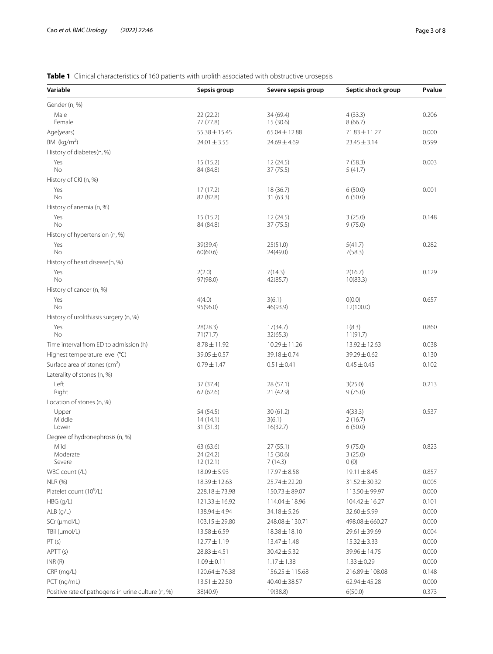# <span id="page-2-0"></span>**Table 1** Clinical characteristics of 160 patients with urolith associated with obstructive urosepsis

| Variable                                           | Sepsis group                       | Severe sepsis group              | Septic shock group            | Pvalue |
|----------------------------------------------------|------------------------------------|----------------------------------|-------------------------------|--------|
| Gender (n, %)                                      |                                    |                                  |                               |        |
| Male<br>Female                                     | 22(22.2)<br>77 (77.8)              | 34 (69.4)<br>15 (30.6)           | 4(33.3)<br>8(66.7)            | 0.206  |
| Age(years)                                         | $55.38 \pm 15.45$                  | $65.04 \pm 12.88$                | $71.83 \pm 11.27$             | 0.000  |
| BMI ( $kg/m2$ )                                    | $24.01 \pm 3.55$                   | $24.69 \pm 4.69$                 | $23.45 \pm 3.14$              | 0.599  |
| History of diabetes(n, %)                          |                                    |                                  |                               |        |
| Yes<br>No                                          | 15(15.2)<br>84 (84.8)              | 12(24.5)<br>37 (75.5)            | 7(58.3)<br>5(41.7)            | 0.003  |
| History of CKI (n, %)                              |                                    |                                  |                               |        |
| Yes<br>No                                          | 17(17.2)<br>82 (82.8)              | 18 (36.7)<br>31 (63.3)           | 6(50.0)<br>6(50.0)            | 0.001  |
| History of anemia (n, %)                           |                                    |                                  |                               |        |
| Yes<br>No                                          | 15(15.2)<br>84 (84.8)              | 12(24.5)<br>37 (75.5)            | 3(25.0)<br>9(75.0)            | 0.148  |
| History of hypertension (n, %)                     |                                    |                                  |                               |        |
| Yes<br>No                                          | 39(39.4)<br>60(60.6)               | 25(51.0)<br>24(49.0)             | 5(41.7)<br>7(58.3)            | 0.282  |
| History of heart disease(n, %)                     |                                    |                                  |                               |        |
| Yes<br>No                                          | 2(2.0)<br>97(98.0)                 | 7(14.3)<br>42(85.7)              | 2(16.7)<br>10(83.3)           | 0.129  |
| History of cancer (n, %)                           |                                    |                                  |                               |        |
| Yes<br>No                                          | 4(4.0)<br>95(96.0)                 | 3(6.1)<br>46(93.9)               | O(0.0)<br>12(100.0)           | 0.657  |
| History of urolithiasis surgery (n, %)             |                                    |                                  |                               |        |
| Yes<br><b>No</b>                                   | 28(28.3)<br>71(71.7)               | 17(34.7)<br>32(65.3)             | 1(8.3)<br>11(91.7)            | 0.860  |
| Time interval from ED to admission (h)             | $8.78 \pm 11.92$                   | $10.29 \pm 11.26$                | $13.92 \pm 12.63$             | 0.038  |
| Highest temperature level (°C)                     | $39.05 \pm 0.57$                   | 39.18±0.74                       | $39.29 \pm 0.62$              | 0.130  |
| Surface area of stones ( $cm2$ )                   | $0.79 \pm 1.47$                    | $0.51 \pm 0.41$                  | $0.45 \pm 0.45$               | 0.102  |
| Laterality of stones (n, %)                        |                                    |                                  |                               |        |
| Left<br>Right                                      | 37 (37.4)<br>62(62.6)              | 28 (57.1)<br>21 (42.9)           | 3(25.0)<br>9(75.0)            | 0.213  |
| Location of stones (n, %)                          |                                    |                                  |                               |        |
| Upper<br>Middle<br>Lower                           | 54 (54.5)<br>14(14.1)<br>31 (31.3) | 30(61.2)<br>3(6.1)<br>16(32.7)   | 4(33.3)<br>2(16.7)<br>6(50.0) | 0.537  |
| Degree of hydronephrosis (n, %)                    |                                    |                                  |                               |        |
| Mild<br>Moderate<br>Severe                         | 63 (63.6)<br>24 (24.2)<br>12(12.1) | 27(55.1)<br>15 (30.6)<br>7(14.3) | 9(75.0)<br>3(25.0)<br>0(0)    | 0.823  |
| WBC count (/L)                                     | $18.09 \pm 5.93$                   | $17.97 \pm 8.58$                 | $19.11 \pm 8.45$              | 0.857  |
| <b>NLR (%)</b>                                     | 18.39±12.63                        | 25.74 ± 22.20                    | $31.52 \pm 30.32$             | 0.005  |
| Platelet count (10 <sup>9</sup> /L)                | $228.18 \pm 73.98$                 | $150.73 \pm 89.07$               | 113.50±99.97                  | 0.000  |
| $HBG$ ( $g/L$ )                                    | $121.33 \pm 16.92$                 | $114.04 \pm 18.96$               | $104.42 \pm 16.27$            | 0.101  |
| $ALB$ (g/L)                                        | 138.94 ± 4.94                      | 34.18 ± 5.26                     | $32.60 \pm 5.99$              | 0.000  |
| SCr (µmol/L)                                       | $103.15 \pm 29.80$                 | 248.08 ± 130.71                  | $498.08 \pm 660.27$           | 0.000  |
| TBil (µmol/L)                                      | $13.58 \pm 6.59$                   | $18.38 \pm 18.10$                | $29.61 \pm 39.69$             | 0.004  |
| PT(s)                                              | $12.77 \pm 1.19$                   | $13.47 \pm 1.48$                 | $15.32 \pm 3.33$              | 0.000  |
| APTT (s)                                           | $28.83 \pm 4.51$                   | $30.42 \pm 5.32$                 | 39.96 ± 14.75                 | 0.000  |
| INR(R)                                             | $1.09 \pm 0.11$                    | $1.17 \pm 1.38$                  | $1.33 \pm 0.29$               | 0.000  |
| CRP (mg/L)                                         | $120.64 \pm 76.38$                 | $156.25 \pm 115.68$              | $216.89 \pm 108.08$           | 0.148  |
| PCT (ng/mL)                                        | $13.51 \pm 22.50$                  | 40.40 ± 38.57                    | $62.94 \pm 45.28$             | 0.000  |
| Positive rate of pathogens in urine culture (n, %) | 38(40.9)                           | 19(38.8)                         | 6(50.0)                       | 0.373  |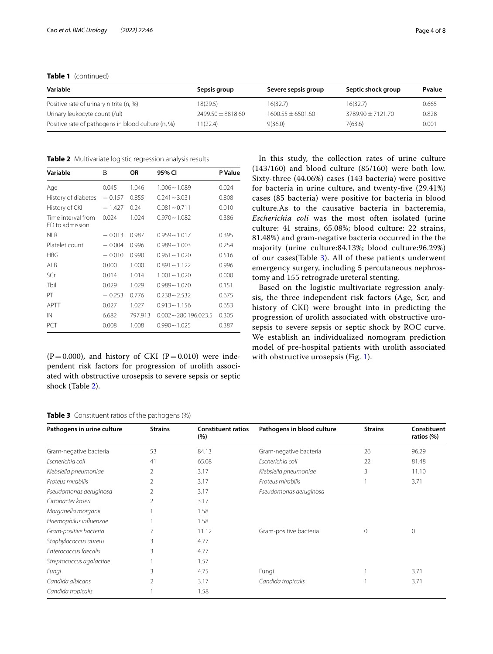**Table 1** (continued)

| Variable                                           | Sepsis group        | Severe sepsis group | Septic shock group  | Pvalue |
|----------------------------------------------------|---------------------|---------------------|---------------------|--------|
| Positive rate of urinary nitrite (n, %)            | 18(29.5)            | 16(32.7)            | 16(32.7)            | 0.665  |
| Urinary leukocyte count (/ul)                      | $7499.50 + 8818.60$ | $1600.55 + 6501.60$ | $3789.90 + 7121.70$ | 0.828  |
| Positive rate of pathogens in blood culture (n, %) | 1(22.4)             | 9(36.0)             | 7(63.6)             | 0.001  |

<span id="page-3-0"></span>**Table 2** Multivariate logistic regression analysis results

| Variable                              | B        | ΟR      | 95% CI                     | P Value |
|---------------------------------------|----------|---------|----------------------------|---------|
| Age                                   | 0.045    | 1.046   | $1.006 - 1.089$            | 0.024   |
| History of diabetes                   | $-0.157$ | 0.855   | $0.241 - 3.031$            | 0.808   |
| History of CKI                        | $-1.427$ | 0.24    | $0.081 - 0.711$            | 0.010   |
| Time interval from<br>ED to admission | 0.024    | 1.024   | $0.970 - 1.082$            | 0.386   |
| <b>NLR</b>                            | $-0.013$ | 0.987   | $0.959 - 1.017$            | 0.395   |
| Platelet count                        | $-0.004$ | 0.996   | $0.989 - 1.003$            | 0.254   |
| <b>HBG</b>                            | $-0.010$ | 0.990   | $0.961 - 1.020$            | 0.516   |
| ALB                                   | 0.000    | 1.000   | $0.891 - 1.122$            | 0.996   |
| SCr                                   | 0.014    | 1.014   | $1.001 - 1.020$            | 0.000   |
| Tbil                                  | 0.029    | 1.029   | $0.989 - 1.070$            | 0.151   |
| PT                                    | $-0.253$ | 0.776   | $0.238 \sim 2.532$         | 0.675   |
| APTT                                  | 0.027    | 1.027   | $0.913 \sim 1.156$         | 0.653   |
| IN                                    | 6.682    | 797.913 | $0.002 \sim 280,196,023.5$ | 0.305   |
| PCT                                   | 0.008    | 1.008   | $0.990 - 1.025$            | 0.387   |

 $(P=0.000)$ , and history of CKI  $(P=0.010)$  were independent risk factors for progression of urolith associated with obstructive urosepsis to severe sepsis or septic shock (Table [2\)](#page-3-0).

In this study, the collection rates of urine culture (143/160) and blood culture (85/160) were both low. Sixty-three (44.06%) cases (143 bacteria) were positive for bacteria in urine culture, and twenty-fve (29.41%) cases (85 bacteria) were positive for bacteria in blood culture.As to the causative bacteria in bacteremia, *Escherichia coli* was the most often isolated (urine culture: 41 strains, 65.08%; blood culture: 22 strains, 81.48%) and gram-negative bacteria occurred in the the majority (urine culture:84.13%; blood culture:96.29%) of our cases(Table [3](#page-3-1)). All of these patients underwent emergency surgery, including 5 percutaneous nephrostomy and 155 retrograde ureteral stenting.

Based on the logistic multivariate regression analysis, the three independent risk factors (Age, Scr, and history of CKI) were brought into in predicting the progression of urolith associated with obstructive urosepsis to severe sepsis or septic shock by ROC curve. We establish an individualized nomogram prediction model of pre-hospital patients with urolith associated with obstructive urosepsis (Fig. [1](#page-4-0)).

<span id="page-3-1"></span>

|  | <b>Table 3</b> Constituent ratios of the pathogens (%) |  |  |
|--|--------------------------------------------------------|--|--|
|--|--------------------------------------------------------|--|--|

| Pathogens in urine culture | <b>Strains</b> | <b>Constituent ratios</b><br>(%) | Pathogens in blood culture | <b>Strains</b> | Constituent<br>ratios (%) |
|----------------------------|----------------|----------------------------------|----------------------------|----------------|---------------------------|
| Gram-negative bacteria     | 53             | 84.13                            | Gram-negative bacteria     | 26             | 96.29                     |
| Escherichia coli           | 41             | 65.08                            | Escherichia coli           | 22             | 81.48                     |
| Klebsiella pneumoniae      | 2              | 3.17                             | Klebsiella pneumoniae      | 3              | 11.10                     |
| Proteus mirabilis          | 2              | 3.17                             | Proteus mirabilis          |                | 3.71                      |
| Pseudomonas aeruginosa     | 2              | 3.17                             | Pseudomonas aeruginosa     |                |                           |
| Citrobacter koseri         | 2              | 3.17                             |                            |                |                           |
| Morganella morganii        |                | 1.58                             |                            |                |                           |
| Haemophilus influenzae     |                | 1.58                             |                            |                |                           |
| Gram-positive bacteria     |                | 11.12                            | Gram-positive bacteria     | 0              | $\mathbf 0$               |
| Staphylococcus aureus      | 3              | 4.77                             |                            |                |                           |
| Enterococcus faecalis      | 3              | 4.77                             |                            |                |                           |
| Streptococcus agalactiae   |                | 1.57                             |                            |                |                           |
| Fungi                      | 3              | 4.75                             | Fungi                      |                | 3.71                      |
| Candida albicans           | 2              | 3.17                             | Candida tropicalis         |                | 3.71                      |
| Candida tropicalis         |                | 1.58                             |                            |                |                           |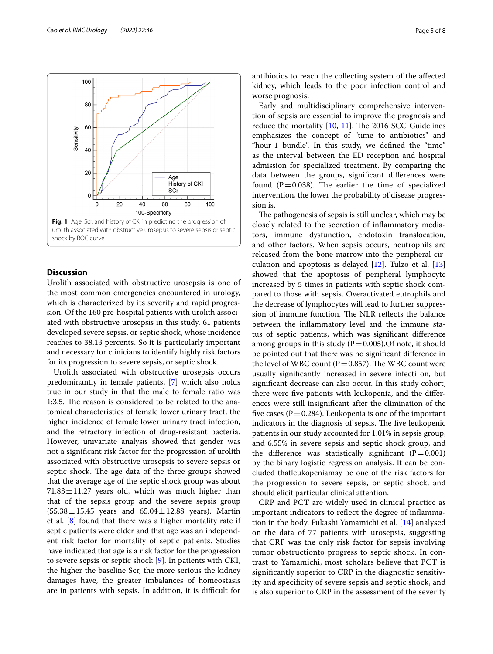

### <span id="page-4-0"></span>**Discussion**

Urolith associated with obstructive urosepsis is one of the most common emergencies encountered in urology, which is characterized by its severity and rapid progression. Of the 160 pre-hospital patients with urolith associated with obstructive urosepsis in this study, 61 patients developed severe sepsis, or septic shock, whose incidence reaches to 38.13 percents. So it is particularly important and necessary for clinicians to identify highly risk factors for its progression to severe sepsis, or septic shock.

Urolith associated with obstructive urosepsis occurs predominantly in female patients, [[7\]](#page-6-6) which also holds true in our study in that the male to female ratio was 1:3.5. The reason is considered to be related to the anatomical characteristics of female lower urinary tract, the higher incidence of female lower urinary tract infection, and the refractory infection of drug-resistant bacteria. However, univariate analysis showed that gender was not a signifcant risk factor for the progression of urolith associated with obstructive urosepsis to severe sepsis or septic shock. The age data of the three groups showed that the average age of the septic shock group was about  $71.83 \pm 11.27$  years old, which was much higher than that of the sepsis group and the severe sepsis group  $(55.38 \pm 15.45)$  years and  $65.04 \pm 12.88$  years). Martin et al. [[8\]](#page-6-7) found that there was a higher mortality rate if septic patients were older and that age was an independent risk factor for mortality of septic patients. Studies have indicated that age is a risk factor for the progression to severe sepsis or septic shock [[9\]](#page-6-8). In patients with CKI, the higher the baseline Scr, the more serious the kidney damages have, the greater imbalances of homeostasis are in patients with sepsis. In addition, it is difficult for antibiotics to reach the collecting system of the afected kidney, which leads to the poor infection control and worse prognosis.

Early and multidisciplinary comprehensive intervention of sepsis are essential to improve the prognosis and reduce the mortality  $[10, 11]$  $[10, 11]$  $[10, 11]$  $[10, 11]$  $[10, 11]$ . The 2016 SCC Guidelines emphasizes the concept of "time to antibiotics" and "hour-1 bundle". In this study, we defned the "time" as the interval between the ED reception and hospital admission for specialized treatment. By comparing the data between the groups, signifcant diferences were found ( $P=0.038$ ). The earlier the time of specialized intervention, the lower the probability of disease progression is.

The pathogenesis of sepsis is still unclear, which may be closely related to the secretion of infammatory mediators, immune dysfunction, endotoxin translocation, and other factors. When sepsis occurs, neutrophils are released from the bone marrow into the peripheral circulation and apoptosis is delayed  $[12]$  $[12]$ . Tulzo et al.  $[13]$  $[13]$  $[13]$ showed that the apoptosis of peripheral lymphocyte increased by 5 times in patients with septic shock compared to those with sepsis. Overactivated eutrophils and the decrease of lymphocytes will lead to further suppression of immune function. The NLR reflects the balance between the infammatory level and the immune status of septic patients, which was signifcant diference among groups in this study  $(P=0.005)$ . Of note, it should be pointed out that there was no signifcant diference in the level of WBC count ( $P=0.857$ ). The WBC count were usually signifcantly increased in severe infecti on, but signifcant decrease can also occur. In this study cohort, there were fve patients with leukopenia, and the diferences were still insignifcant after the elimination of the five cases ( $P = 0.284$ ). Leukopenia is one of the important indicators in the diagnosis of sepsis. The five leukopenic patients in our study accounted for 1.01% in sepsis group, and 6.55% in severe sepsis and septic shock group, and the difference was statistically significant  $(P=0.001)$ by the binary logistic regression analysis. It can be concluded thatleukopeniamay be one of the risk factors for the progression to severe sepsis, or septic shock, and should elicit particular clinical attention.

CRP and PCT are widely used in clinical practice as important indicators to refect the degree of infammation in the body. Fukashi Yamamichi et al. [[14\]](#page-7-0) analysed on the data of 77 patients with urosepsis, suggesting that CRP was the only risk factor for sepsis involving tumor obstructionto progress to septic shock. In contrast to Yamamichi, most scholars believe that PCT is signifcantly superior to CRP in the diagnostic sensitivity and specifcity of severe sepsis and septic shock, and is also superior to CRP in the assessment of the severity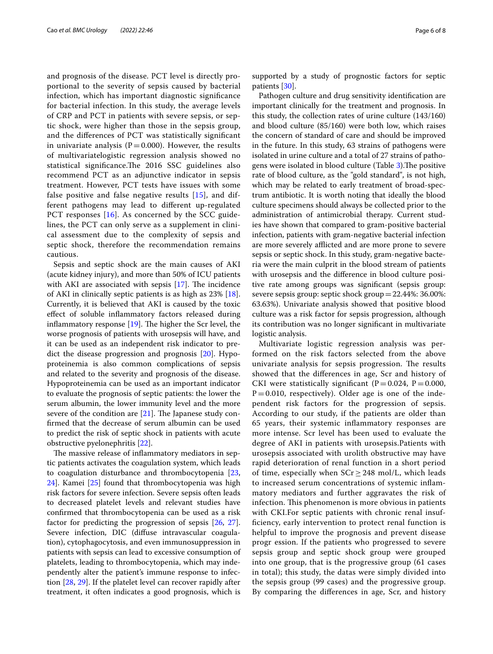and prognosis of the disease. PCT level is directly proportional to the severity of sepsis caused by bacterial infection, which has important diagnostic signifcance for bacterial infection. In this study, the average levels of CRP and PCT in patients with severe sepsis, or septic shock, were higher than those in the sepsis group, and the diferences of PCT was statistically signifcant in univariate analysis ( $P = 0.000$ ). However, the results of multivariatelogistic regression analysis showed no statistical significance.The 2016 SSC guidelines also recommend PCT as an adjunctive indicator in sepsis treatment. However, PCT tests have issues with some false positive and false negative results [[15\]](#page-7-1), and different pathogens may lead to diferent up-regulated PCT responses [\[16](#page-7-2)]. As concerned by the SCC guidelines, the PCT can only serve as a supplement in clinical assessment due to the complexity of sepsis and septic shock, therefore the recommendation remains cautious.

Sepsis and septic shock are the main causes of AKI (acute kidney injury), and more than 50% of ICU patients with AKI are associated with sepsis  $[17]$  $[17]$  $[17]$ . The incidence of AKI in clinically septic patients is as high as 23% [\[18](#page-7-4)]. Currently, it is believed that AKI is caused by the toxic efect of soluble infammatory factors released during inflammatory response  $[19]$  $[19]$ . The higher the Scr level, the worse prognosis of patients with urosepsis will have, and it can be used as an independent risk indicator to predict the disease progression and prognosis [\[20\]](#page-7-6). Hypoproteinemia is also common complications of sepsis and related to the severity and prognosis of the disease. Hypoproteinemia can be used as an important indicator to evaluate the prognosis of septic patients: the lower the serum albumin, the lower immunity level and the more severe of the condition are  $[21]$  $[21]$  $[21]$ . The Japanese study confrmed that the decrease of serum albumin can be used to predict the risk of septic shock in patients with acute obstructive pyelonephritis [\[22](#page-7-8)].

The massive release of inflammatory mediators in septic patients activates the coagulation system, which leads to coagulation disturbance and thrombocytopenia [\[23](#page-7-9), [24\]](#page-7-10). Kamei [[25\]](#page-7-11) found that thrombocytopenia was high risk factors for severe infection. Severe sepsis often leads to decreased platelet levels and relevant studies have confrmed that thrombocytopenia can be used as a risk factor for predicting the progression of sepsis [\[26](#page-7-12), [27](#page-7-13)]. Severe infection, DIC (difuse intravascular coagulation), cytophagocytosis, and even immunosuppression in patients with sepsis can lead to excessive consumption of platelets, leading to thrombocytopenia, which may independently alter the patient's immune response to infection [\[28,](#page-7-14) [29\]](#page-7-15). If the platelet level can recover rapidly after treatment, it often indicates a good prognosis, which is supported by a study of prognostic factors for septic patients [[30\]](#page-7-16).

Pathogen culture and drug sensitivity identifcation are important clinically for the treatment and prognosis. In this study, the collection rates of urine culture (143/160) and blood culture (85/160) were both low, which raises the concern of standard of care and should be improved in the future. In this study, 63 strains of pathogens were isolated in urine culture and a total of 27 strains of patho-gens were isolated in blood culture (Table [3\)](#page-3-1). The positive rate of blood culture, as the "gold standard", is not high, which may be related to early treatment of broad-spectrum antibiotic. It is worth noting that ideally the blood culture specimens should always be collected prior to the administration of antimicrobial therapy. Current studies have shown that compared to gram-positive bacterial infection, patients with gram-negative bacterial infection are more severely afflicted and are more prone to severe sepsis or septic shock. In this study, gram-negative bacteria were the main culprit in the blood stream of patients with urosepsis and the diference in blood culture positive rate among groups was signifcant (sepsis group: severe sepsis group: septic shock group=22.44%: 36.00%: 63.63%). Univariate analysis showed that positive blood culture was a risk factor for sepsis progression, although its contribution was no longer signifcant in multivariate logistic analysis.

Multivariate logistic regression analysis was performed on the risk factors selected from the above univariate analysis for sepsis progression. The results showed that the diferences in age, Scr and history of CKI were statistically significant ( $P=0.024$ ,  $P=0.000$ ,  $P=0.010$ , respectively). Older age is one of the independent risk factors for the progression of sepsis. According to our study, if the patients are older than 65 years, their systemic infammatory responses are more intense. Scr level has been used to evaluate the degree of AKI in patients with urosepsis.Patients with urosepsis associated with urolith obstructive may have rapid deterioration of renal function in a short period of time, especially when  $SCr \geq 248$  mol/L, which leads to increased serum concentrations of systemic infammatory mediators and further aggravates the risk of infection. This phenomenon is more obvious in patients with CKI.For septic patients with chronic renal insuffciency, early intervention to protect renal function is helpful to improve the prognosis and prevent disease progr ession. If the patients who progressed to severe sepsis group and septic shock group were grouped into one group, that is the progressive group (61 cases in total); this study, the datas were simply divided into the sepsis group (99 cases) and the progressive group. By comparing the diferences in age, Scr, and history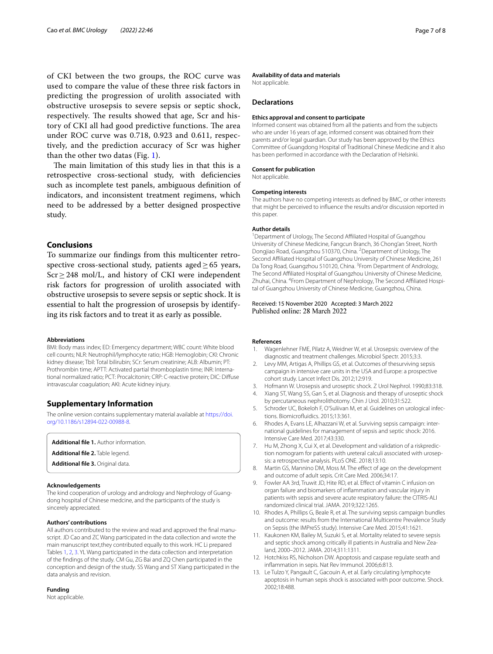of CKI between the two groups, the ROC curve was used to compare the value of these three risk factors in predicting the progression of urolith associated with obstructive urosepsis to severe sepsis or septic shock, respectively. The results showed that age, Scr and history of CKI all had good predictive functions. The area under ROC curve was 0.718, 0.923 and 0.611, respectively, and the prediction accuracy of Scr was higher than the other two datas (Fig. [1](#page-4-0)).

The main limitation of this study lies in that this is a retrospective cross-sectional study, with defciencies such as incomplete test panels, ambiguous defnition of indicators, and inconsistent treatment regimens, which need to be addressed by a better designed prospective study.

## **Conclusions**

To summarize our fndings from this multicenter retrospective cross-sectional study, patients aged $\geq 65$  years, Scr≥248 mol/L, and history of CKI were independent risk factors for progression of urolith associated with obstructive urosepsis to severe sepsis or septic shock. It is essential to halt the progression of urosepsis by identifying its risk factors and to treat it as early as possible.

#### **Abbreviations**

BMI: Body mass index; ED: Emergency department; WBC count: White blood cell counts; NLR: Neutrophil/lymphocyte ratio; HGB: Hemoglobin; CKI: Chronic kidney disease; Tbil: Total bilirubin; SCr: Serum creatinine; ALB: Albumin; PT: Prothrombin time; APTT: Activated partial thromboplastin time; INR: International normalized ratio; PCT: Procalcitonin; CRP: C-reactive protein; DIC: Difuse intravascular coagulation; AKI: Acute kidney injury.

#### **Supplementary Information**

The online version contains supplementary material available at [https://doi.](https://doi.org/10.1186/s12894-022-00988-8) [org/10.1186/s12894-022-00988-8](https://doi.org/10.1186/s12894-022-00988-8).

**Additional fle 1.** Author information.

**Additional fle 2.** Table legend.

**Additional fle 3.** Original data.

#### **Acknowledgements**

The kind cooperation of urology and andrology and Nephrology of Guangdong hospital of Chinese medcine, and the participants of the study is sincerely appreciated.

#### **Authors' contributions**

All authors contributed to the review and read and approved the fnal manuscript. JD Cao and ZC Wang participated in the data collection and wrote the main manuscript text,they contributed equally to this work. HC Li prepared Tables [1,](#page-2-0) [2](#page-3-0), [3.](#page-3-1) YL Wang participated in the data collection and interpretation of the fndings of the study. CM Gu, ZG Bai and ZQ Chen participated in the conception and design of the study. SS Wang and ST Xiang participated in the data analysis and revision.

**Funding**

Not applicable.

#### **Availability of data and materials**

Not applicable.

#### **Declarations**

#### **Ethics approval and consent to participate**

Informed consent was obtained from all the patients and from the subjects who are under 16 years of age, informed consent was obtained from their parents and/or legal guardian. Our study has been approved by the Ethics Committee of Guangdong Hospital of Traditional Chinese Medicine and it also has been performed in accordance with the Declaration of Helsinki.

#### **Consent for publication**

Not applicable.

#### **Competing interests**

The authors have no competing interests as defned by BMC, or other interests that might be perceived to infuence the results and/or discussion reported in this paper.

#### **Author details**

<sup>1</sup> Department of Urology, The Second Affiliated Hospital of Guangzhou University of Chinese Medicine, Fangcun Branch, 36 Chong'an Street, North Dongjiao Road, Guangzhou 510370, China. <sup>2</sup> Department of Urology, The Second Afliated Hospital of Guangzhou University of Chinese Medicine, 261 Da Tong Road, Guangzhou 510120, China.<sup>3</sup> From Department of Andrology, The Second Afliated Hospital of Guangzhou University of Chinese Medicine, Zhuhai, China. <sup>4</sup> From Department of Nephrology, The Second Affiliated Hospital of Guangzhou University of Chinese Medicine, Guangzhou, China.

#### Received: 15 November 2020 Accepted: 3 March 2022 Published online: 28 March 2022

#### **References**

- <span id="page-6-0"></span>1. Wagenlehner FME, Pilatz A, Weidner W, et al. Urosepsis: overview of the diagnostic and treatment challenges. Microbiol Spectr. 2015;3:3.
- <span id="page-6-1"></span>2. Levy MM, Artigas A, Phillips GS, et al. Outcomes of thesurviving sepsis campaign in intensive care units in the USA and Europe: a prospective cohort study. Lancet Infect Dis. 2012;12:919.
- <span id="page-6-2"></span>3. Hofmann W. Urosepsis and uroseptic shock. Z Urol Nephrol. 1990;83:318.
- <span id="page-6-3"></span>4. Xiang ST, Wang SS, Gan S, et al. Diagnosis and therapy of uroseptic shock by percutaneous nephrolithotomy. Chin J Urol. 2010;31:522.
- <span id="page-6-4"></span>5. Schroder UC, Bokeloh F, O'Suliivan M, et al. Guidelines on urological infections. Biomicrofuidics. 2015;13:361.
- <span id="page-6-5"></span>6. Rhodes A, Evans LE, Alhazzani W, et al. Surviving sepsis campaign: international guidelines for management of sepsis and septic shock: 2016. Intensive Care Med. 2017;43:330.
- <span id="page-6-6"></span>7. Hu M, Zhong X, Cui X, et al. Development and validation of a riskprediction nomogram for patients with ureteral calculi associated with urosepsis: a retrospective analysis. PLoS ONE. 2018;13:10.
- <span id="page-6-7"></span>8. Martin GS, Mannino DM, Moss M. The effect of age on the development and outcome of adult sepis. Crit Care Med. 2006;34:17.
- <span id="page-6-8"></span>9. Fowler AA 3rd, Truwit JD, Hite RD, et al. Efect of vitamin C infusion on organ failure and biomarkers of infammation and vascular injury in patients with sepsis and severe acute respiratory failure: the CITRIS-ALI randomized clinical trial. JAMA. 2019;322:1265.
- <span id="page-6-9"></span>10. Rhodes A, Phillips G, Beale R, et al. The surviving sepsis campaign bundles and outcome: results from the International Multicentre Prevalence Study on Sepsis (the IMPreSS study). Intensive Care Med. 2015;41:1621.
- <span id="page-6-10"></span>11. Kaukonen KM, Bailey M, Suzuki S, et al. Mortality related to severe sepsis and septic shock among critically ill patients in Australia and New Zealand, 2000–2012. JAMA. 2014;311:1311.
- <span id="page-6-11"></span>12. Hotchkiss RS, Nicholson DW. Apoptosis and caspase regulate seath and infammation in sepis. Nat Rev Immunol. 2006;6:813.
- <span id="page-6-12"></span>13. Le Tulzo Y, Pangault C, Gacouin A, et al. Early circulating lymphocyte apoptosis in human sepis shock is associated with poor outcome. Shock. 2002;18:488.